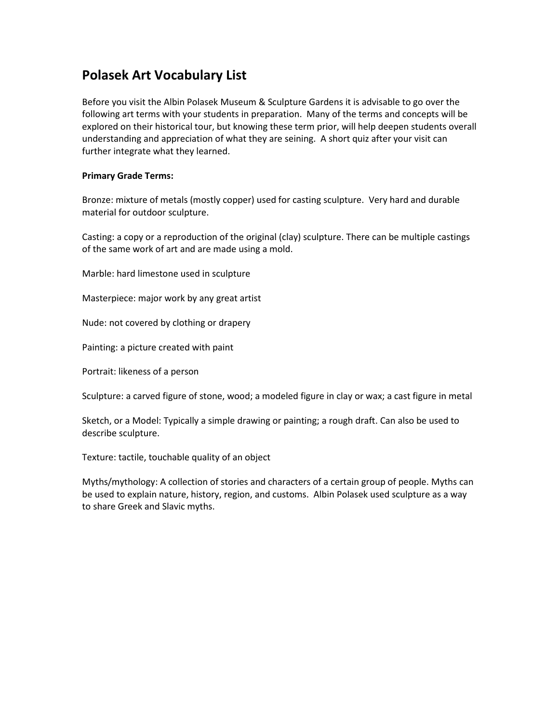## **Polasek Art Vocabulary List**

Before you visit the Albin Polasek Museum & Sculpture Gardens it is advisable to go over the following art terms with your students in preparation. Many of the terms and concepts will be explored on their historical tour, but knowing these term prior, will help deepen students overall understanding and appreciation of what they are seining. A short quiz after your visit can further integrate what they learned.

## **Primary Grade Terms:**

Bronze: mixture of metals (mostly copper) used for casting sculpture. Very hard and durable material for outdoor sculpture.

Casting: a copy or a reproduction of the original (clay) sculpture. There can be multiple castings of the same work of art and are made using a mold.

Marble: hard limestone used in sculpture

Masterpiece: major work by any great artist

Nude: not covered by clothing or drapery

Painting: a picture created with paint

Portrait: likeness of a person

Sculpture: a carved figure of stone, wood; a modeled figure in clay or wax; a cast figure in metal

Sketch, or a Model: Typically a simple drawing or painting; a rough draft. Can also be used to describe sculpture.

Texture: tactile, touchable quality of an object

Myths/mythology: A collection of stories and characters of a certain group of people. Myths can be used to explain nature, history, region, and customs. Albin Polasek used sculpture as a way to share Greek and Slavic myths.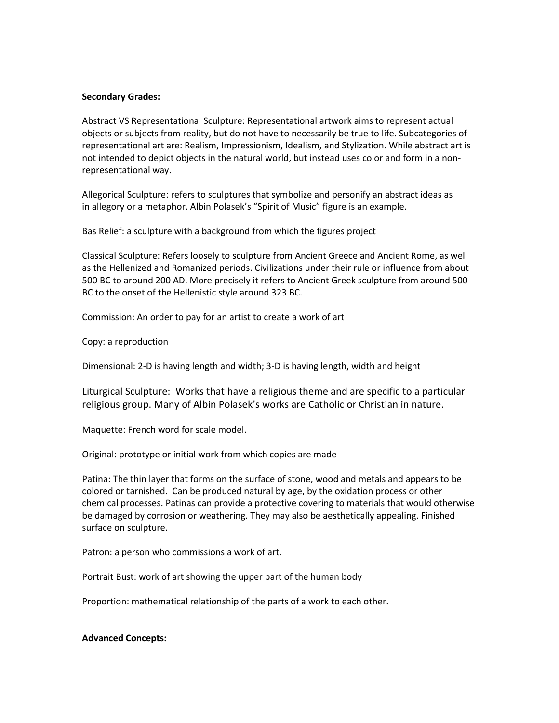## **Secondary Grades:**

Abstract VS Representational Sculpture: Representational artwork aims to represent actual objects or subjects from reality, but do not have to necessarily be true to life. Subcategories of representational art are: Realism, Impressionism, Idealism, and Stylization. While abstract art is not intended to depict objects in the natural world, but instead uses color and form in a nonrepresentational way.

Allegorical Sculpture: refers to sculptures that symbolize and personify an abstract ideas as in allegory or a metaphor. Albin Polasek's "Spirit of Music" figure is an example.

Bas Relief: a sculpture with a background from which the figures project

Classical Sculpture: Refers loosely to sculpture from Ancient Greece and Ancient Rome, as well as the Hellenized and Romanized periods. Civilizations under their rule or influence from about 500 BC to around 200 AD. More precisely it refers to Ancient Greek sculpture from around 500 BC to the onset of the Hellenistic style around 323 BC.

Commission: An order to pay for an artist to create a work of art

Copy: a reproduction

Dimensional: 2-D is having length and width; 3-D is having length, width and height

Liturgical Sculpture: Works that have a religious theme and are specific to a particular religious group. Many of Albin Polasek's works are Catholic or Christian in nature.

Maquette: French word for scale model.

Original: prototype or initial work from which copies are made

Patina: The thin layer that forms on the surface of stone, wood and metals and appears to be colored or tarnished. Can be produced natural by age, by the oxidation process or other chemical processes. Patinas can provide a protective covering to materials that would otherwise be damaged by corrosion or weathering. They may also be aesthetically appealing. Finished surface on sculpture.

Patron: a person who commissions a work of art.

Portrait Bust: work of art showing the upper part of the human body

Proportion: mathematical relationship of the parts of a work to each other.

## **Advanced Concepts:**